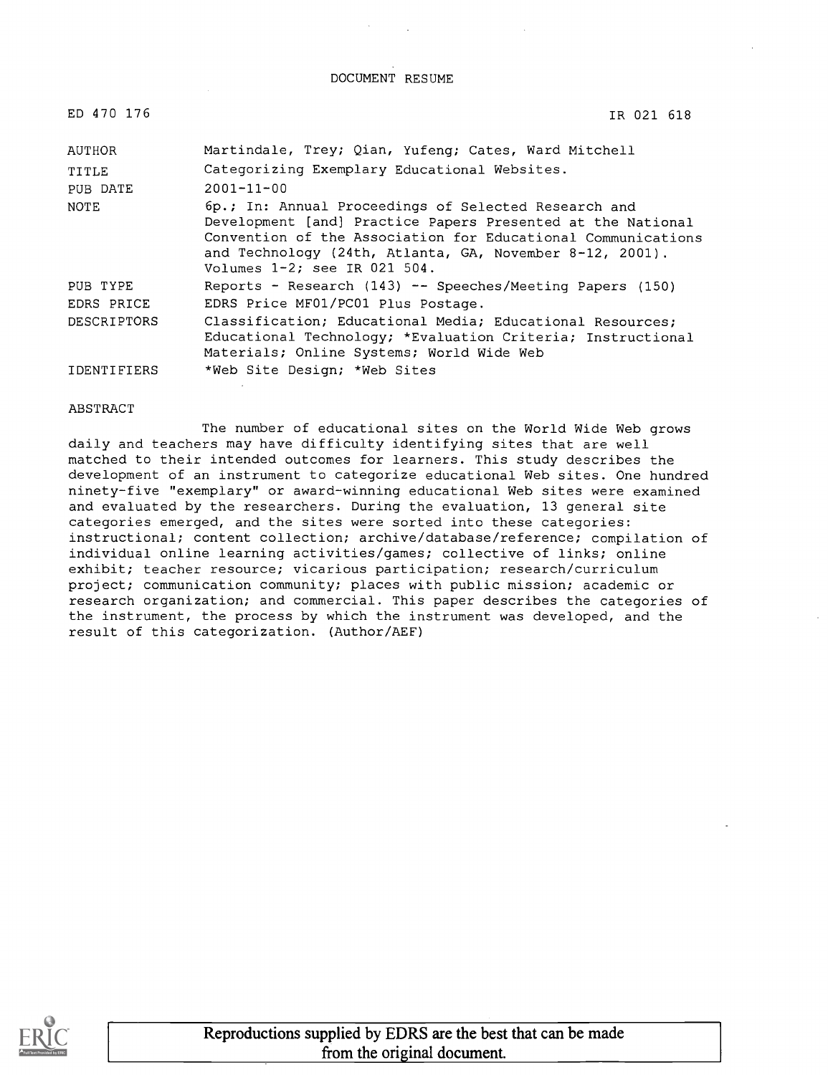#### DOCUMENT RESUME

| ED 470 176  | IR 021 618                                                                                                                                                                                                                                                                         |
|-------------|------------------------------------------------------------------------------------------------------------------------------------------------------------------------------------------------------------------------------------------------------------------------------------|
| AUTHOR      | Martindale, Trey; Qian, Yufeng; Cates, Ward Mitchell                                                                                                                                                                                                                               |
| TITLE       | Categorizing Exemplary Educational Websites.                                                                                                                                                                                                                                       |
| PUB DATE    | $2001 - 11 - 00$                                                                                                                                                                                                                                                                   |
| NOTE        | 6p.; In: Annual Proceedings of Selected Research and<br>Development [and] Practice Papers Presented at the National<br>Convention of the Association for Educational Communications<br>and Technology (24th, Atlanta, GA, November 8-12, 2001).<br>Volumes $1-2$ ; see IR 021 504. |
| PUB TYPE    | Reports - Research (143) -- Speeches/Meeting Papers (150)                                                                                                                                                                                                                          |
| EDRS PRICE  | EDRS Price MF01/PC01 Plus Postage.                                                                                                                                                                                                                                                 |
| DESCRIPTORS | Classification; Educational Media; Educational Resources;<br>Educational Technology; *Evaluation Criteria; Instructional<br>Materials; Online Systems; World Wide Web                                                                                                              |
| IDENTIFIERS | *Web Site Design; *Web Sites                                                                                                                                                                                                                                                       |

#### ABSTRACT

The number of educational sites on the World Wide Web grows daily and teachers may have difficulty identifying sites that are well matched to their intended outcomes for learners. This study describes the development of an instrument to categorize educational Web sites. One hundred ninety-five "exemplary" or award-winning educational Web sites were examined and evaluated by the researchers. During the evaluation, 13 general site categories emerged, and the sites were sorted into these categories: instructional; content collection; archive/database/reference; compilation of individual online learning activities/games; collective of links; online exhibit; teacher resource; vicarious participation; research/curriculum project; communication community; places with public mission; academic or research organization; and commercial. This paper describes the categories of the instrument, the process by which the instrument was developed, and the result of this categorization. (Author/AEF)

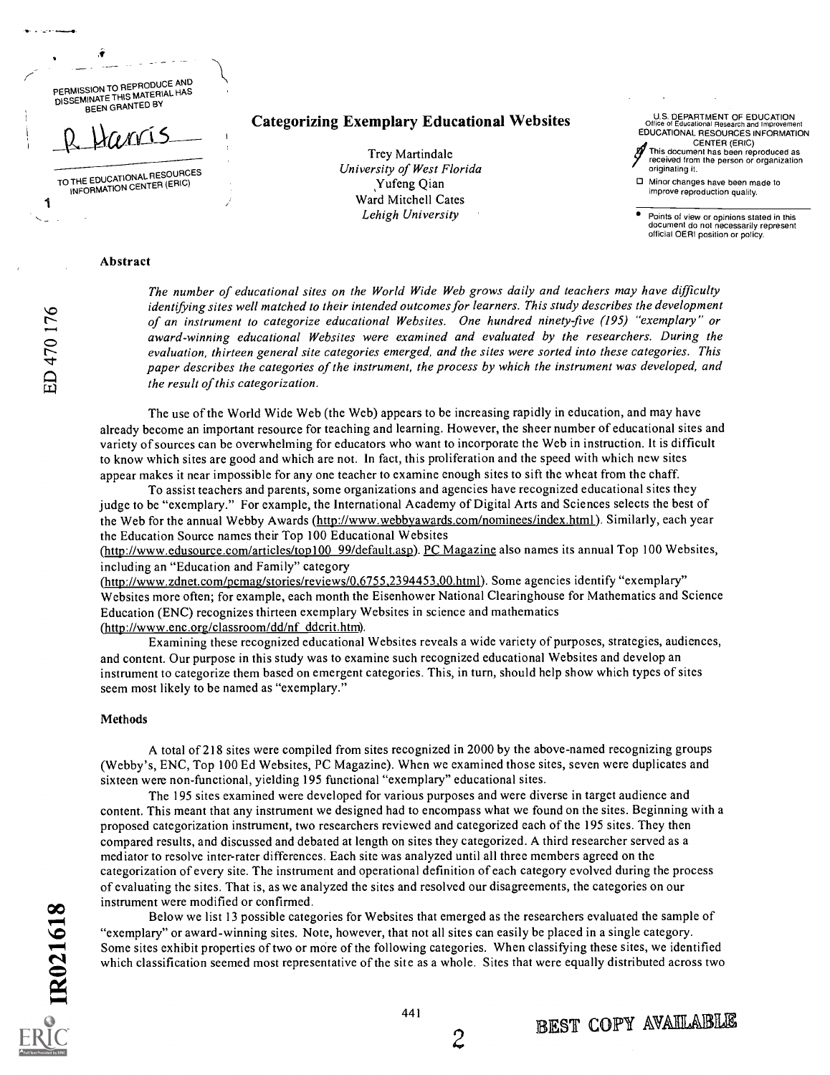PERMISSION TO REPRODUCE AND PERIMISSIUM TO REPRODUCE AND BEEN GRANTED BY

 $u_1$ 

TO THE EDUCATIONAL RESOURCES INFORMATION CENTER (ERIC)

### Categorizing Exemplary Educational Websites

Trey Martindale University of West Florida yufeng Qian Ward Mitchell Cates Lehigh University

U.S. DEPARTMENT OF EDUCATION Office of Educational Research and Improvement CENTER (ERIC)

EDUCATIONAL RESOURCES INFORMATION<br>
CENTER (ERIC)<br>
This document has been reproduced as<br>
received from the person or organization<br>
originating it. This document has been reproduced as received from the person or organization originating it.

Minor changes have been made to improve reproduction quality.

Points of view or opinions stated in this document do not necessarily represent official OERI position or policy.

#### Abstract

The number of educational sites on the World Wide Web grows daily and teachers may have difficulty identifying sites well matched to their intended outcomes for learners. This study describes the development of an instrument to categorize educational Websites. One hundred ninety-five (195) "exemplary" or award-winning educational Websites were examined and evaluated by the researchers. During the evaluation, thirteen general site categories emerged, and the sites were sorted into these categories. This paper describes the categories of the instrument, the process by which the instrument was developed, and the result of this categorization.

The use of the World Wide Web (the Web) appears to be increasing rapidly in education, and may have already become an important resource for teaching and learning. However, the sheer number of educational sites and variety of sources can be overwhelming for educators who want to incorporate the Web in instruction. It is difficult to know which sites are good and which are not. In fact, this proliferation and the speed with which new sites appear makes it near impossible for any one teacher to examine enough sites to sift the wheat from the chaff.

To assist teachers and parents, some organizations and agencies have recognized educational sites they judge to be "exemplary." For example, the International Academy of Digital Arts and Sciences selects the best of the Web for the annual Webby Awards (http://www.webbyawards.com/nominees/index.html ). Similarly, each year the Education Source names their Top 100 Educational Websites

(http://www.edusource.com/articles/top100 99/default.asp). PC Magazine also names its annual Top 100 Websites, including an "Education and Family" category

(http://www.zdnet.com/pcmag/stories/reviews/0,6755,2394453.00.html). Some agencies identify "exemplary" Websites more often; for example, each month the Eisenhower National Clearinghouse for Mathematics and Science Education (ENC) recognizes thirteen exemplary Websites in science and mathematics (http://www.enc.org/classroom/dd/nf ddcrit.htm).

Examining these recognized educational Websites reveals a wide variety of purposes, strategies, audiences, and content. Our purpose in this study was to examine such recognized educational Websites and develop an instrument to categorize them based on emergent categories. This, in turn, should help show which types of sites seem most likely to be named as "exemplary."

#### Methods

A total of 218 sites were compiled from sites recognized in 2000 by the above-named recognizing groups (Webby's, ENC, Top 100 Ed Websites, PC Magazine). When we examined those sites, seven were duplicates and sixteen were non-functional, yielding 195 functional "exemplary" educational sites.

The 195 sites examined were developed for various purposes and were diverse in target audience and content. This meant that any instrument we designed had to encompass what we found on the sites. Beginning with a proposed categorization instrument, two researchers reviewed and categorized each of the 195 sites. They then compared results, and discussed and debated at length on sites they categorized. A third researcher served as a mediator to resolve inter-rater differences. Each site was analyzed until all three members agreed on the categorization of every site. The instrument and operational definition of each category evolved during the process of evaluating the sites. That is, as we analyzed the sites and resolved our disagreements, the categories on our instrument were modified or confirmed.

Below we list 13 possible categories for Websites that emerged as the researchers evaluated the sample of "exemplary" or award-winning sites. Note, however, that not all sites can easily be placed in a single category. Some sites exhibit properties of two or more of the following categories. When classifying these sites, we identified which classification seemed most representative of the site as a whole. Sites that were equally distributed across two

1

441

2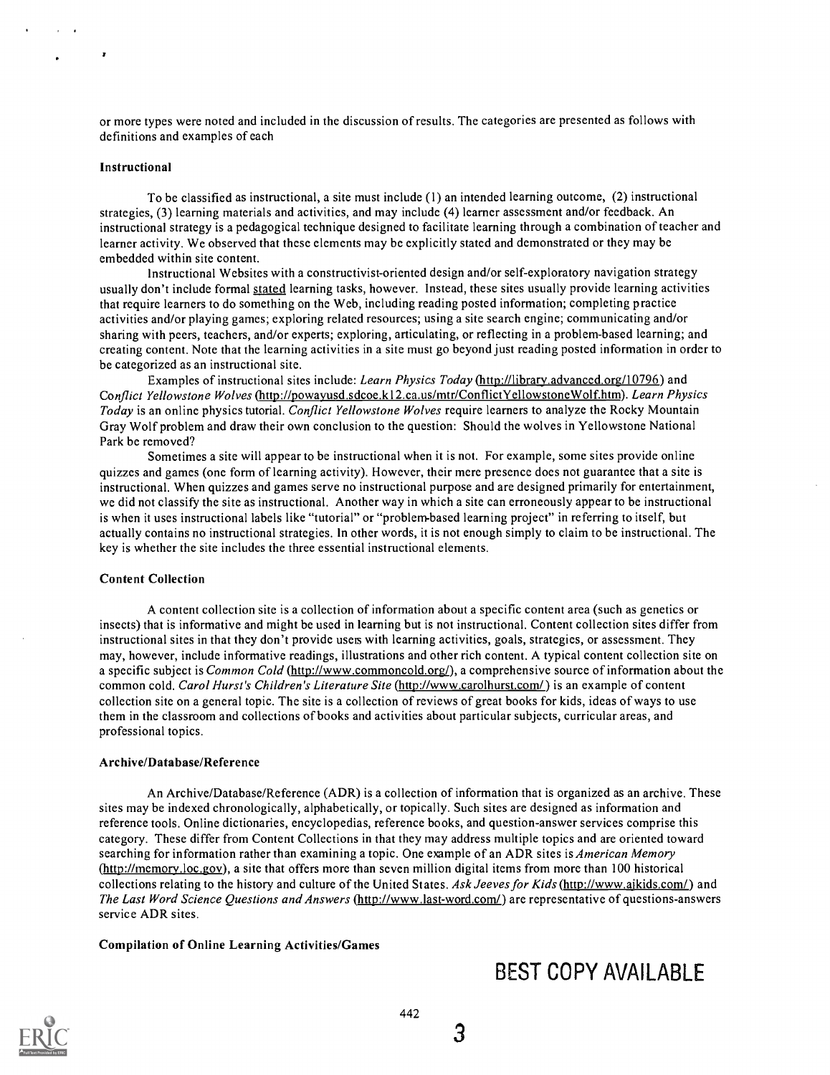or more types were noted and included in the discussion of results. The categories are presented as follows with definitions and examples of each

### Instructional

To be classified as instructional, a site must include (1) an intended learning outcome, (2) instructional strategies, (3) learning materials and activities, and may include (4) learner assessment and/or feedback. An instructional strategy is a pedagogical technique designed to facilitate learning through a combination of teacher and learner activity. We observed that these elements may be explicitly stated and demonstrated or they may be embedded within site content.

Instructional Websites with a constructivist-oriented design and/or self-exploratory navigation strategy usually don't include formal stated learning tasks, however. Instead, these sites usually provide learning activities that require learners to do something on the Web, including reading posted information; completing practice activities and/or playing games; exploring related resources; using a site search engine; communicating and/or sharing with peers, teachers, and/or experts; exploring, articulating, or reflecting in a problem-based learning; and creating content. Note that the learning activities in a site must go beyond just reading posted information in order to be categorized as an instructional site.

Examples of instructional sites include: Learn Physics Today (http://library.advanced.org/10796) and Conflict Yellowstone Wolves (http://powayusd.sdcoe.k12.ca.us/mtr/ConflictYellowstoneWolf.htm). Learn Physics Today is an online physics tutorial. Conflict Yellowstone Wolves require learners to analyze the Rocky Mountain Gray Wolf problem and draw their own conclusion to the question: Should the wolves in Yellowstone National Park be removed?

Sometimes a site will appear to be instructional when it is not. For example, some sites provide online quizzes and games (one form of learning activity). However, their mere presence does not guarantee that a site is instructional. When quizzes and games serve no instructional purpose and are designed primarily for entertainment, we did not classify the site as instructional. Another way in which a site can erroneously appear to be instructional is when it uses instructional labels like "tutorial" or "problem-based learning project" in referring to itself, but actually contains no instructional strategies. In other words, it is not enough simply to claim to be instructional. The key is whether the site includes the three essential instructional elements.

#### Content Collection

A content collection site is a collection of information about a specific content area (such as genetics or insects) that is informative and might be used in learning but is not instructional. Content collection sites differ from instructional sites in that they don't provide uses with learning activities, goals, strategies, or assessment. They may, however, include informative readings, illustrations and other rich content. A typical content collection site on a specific subject is Common Cold (http://www.commoncold.org/), a comprehensive source of information about the common cold. Carol Hurst's Children's Literature Site (http://www.carolhurst.com/) is an example of content collection site on a general topic. The site is a collection of reviews of great books for kids, ideas of ways to use them in the classroom and collections of books and activities about particular subjects, curricular areas, and professional topics.

#### Archive/Database/Reference

An Archive/Database/Reference (ADR) is a collection of information that is organized as an archive. These sites may be indexed chronologically, alphabetically, or topically. Such sites are designed as information and reference tools. Online dictionaries, encyclopedias, reference books, and question-answer services comprise this category. These differ from Content Collections in that they may address multiple topics and are oriented toward searching for information rather than examining a topic. One example of an ADR sites is *American Memory* (http://memorv.loc.gov), a site that offers more than seven million digital items from more than 100 historical collections relating to the history and culture of the United States. Ask Jeeves for Kids (http://www.ajkids.com/) and The Last Word Science Questions and Answers (http://www.last-word.com/) are representative of questions-answers service ADR sites.

#### Compilation of Online Learning Activities/Games



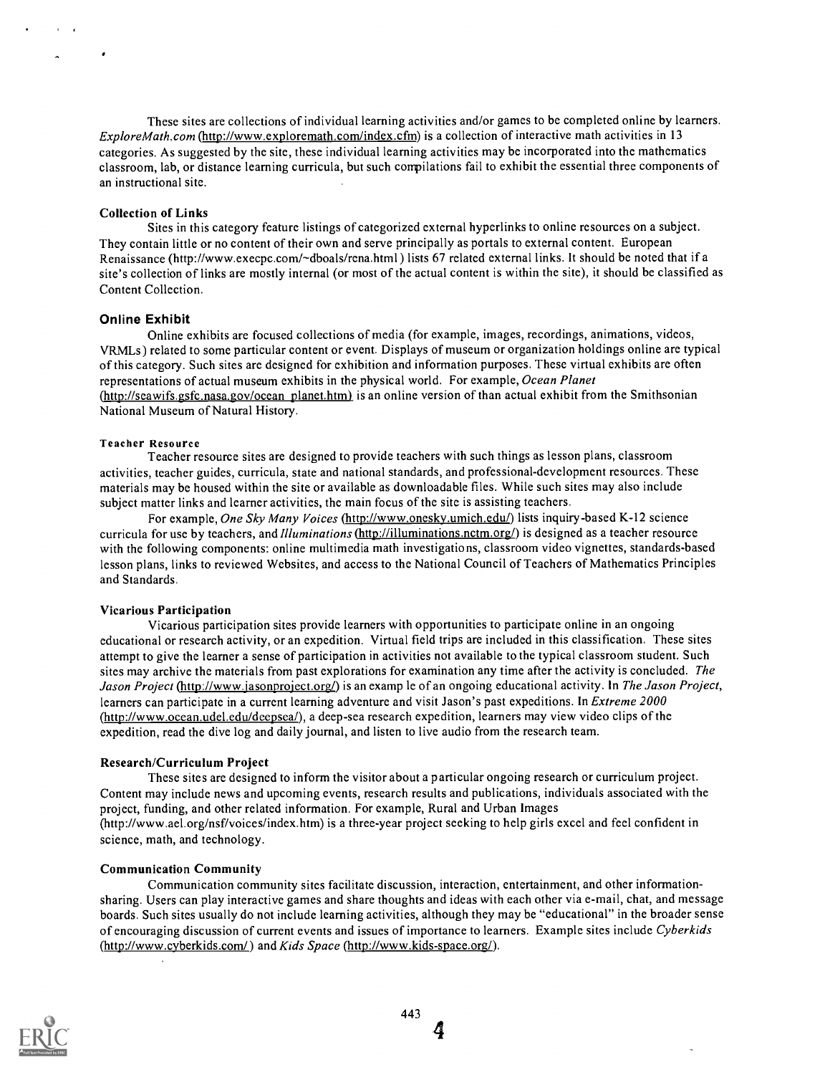These sites are collections of individual learning activities and/or games to be completed online by learners. ExploreMath.com (http://www.exploremath.com/index.cfm) is a collection of interactive math activities in 13 categories. As suggested by the site, these individual learning activities may be incorporated into the mathematics classroom, lab, or distance learning curricula, but such compilations fail to exhibit the essential three components of an instructional site.

#### Collection of Links

Sites in this category feature listings of categorized external hyperlinks to online resources on a subject. They contain little or no content of their own and serve principally as portals to external content. European Renaissance (http://www.execpc.com/~dboals/rena.html) lists 67 related external links. It should be noted that if a site's collection of links are mostly internal (or most of the actual content is within the site), it should be classified as Content Collection.

#### Online Exhibit

Online exhibits are focused collections of media (for example, images, recordings, animations, videos, VRMLs) related to some particular content or event. Displays of museum or organization holdings online are typical of this category. Such sites are designed for exhibition and information purposes. These virtual exhibits are often representations of actual museum exhibits in the physical world. For example, Ocean Planet (http://seawifs.gsfc.nasa.gov/ocean planet.htm) is an online version of than actual exhibit from the Smithsonian National Museum of Natural History.

#### Teacher Resource

Teacher resource sites are designed to provide teachers with such things as lesson plans, classroom activities, teacher guides, curricula, state and national standards, and professional-development resources. These materials may be housed within the site or available as downloadable files. While such sites may also include subject matter links and learner activities, the main focus of the site is assisting teachers.

For example, One Sky Many Voices (http://www.onesky.umich.edu/) lists inquiry-based K-12 science curricula for use by teachers, and *Illuminations* (http://illuminations.nctm.org/) is designed as a teacher resource with the following components: online multimedia math investigations, classroom video vignettes, standards-based lesson plans, links to reviewed Websites, and access to the National Council of Teachers of Mathematics Principles and Standards.

#### Vicarious Participation

Vicarious participation sites provide learners with opportunities to participate online in an ongoing educational or research activity, or an expedition. Virtual field trips are included in this classification. These sites attempt to give the learner a sense of participation in activities not available to the typical classroom student. Such sites may archive the materials from past explorations for examination any time after the activity is concluded. The Jason Project (http://www.jasonproject.org/) is an examp le of an ongoing educational activity. In The Jason Project, learners can participate in a current learning adventure and visit Jason's past expeditions. In Extreme 2000 (http://www.ocean.udel.edu/deepsea/), a deep-sea research expedition, learners may view video clips of the expedition, read the dive log and daily journal, and listen to live audio from the research team.

#### Research/Curriculum Project

These sites are designed to inform the visitor about a particular ongoing research or curriculum project. Content may include news and upcoming events, research results and publications, individuals associated with the project, funding, and other related information. For example, Rural and Urban Images (http://www.ael.org/nsf/voices/index.htm) is a three-year project seeking to help girls excel and feel confident in science, math, and technology.

#### Communication Community

Communication community sites facilitate discussion, interaction, entertainment, and other informationsharing. Users can play interactive games and share thoughts and ideas with each other via e-mail, chat, and message boards. Such sites usually do not include learning activities, although they may be "educational" in the broader sense of encouraging discussion of current events and issues of importance to learners. Example sites include Cyberkids (http://www.cyberkids.com/) and Kids Space (http://www.kids-space.org/).



4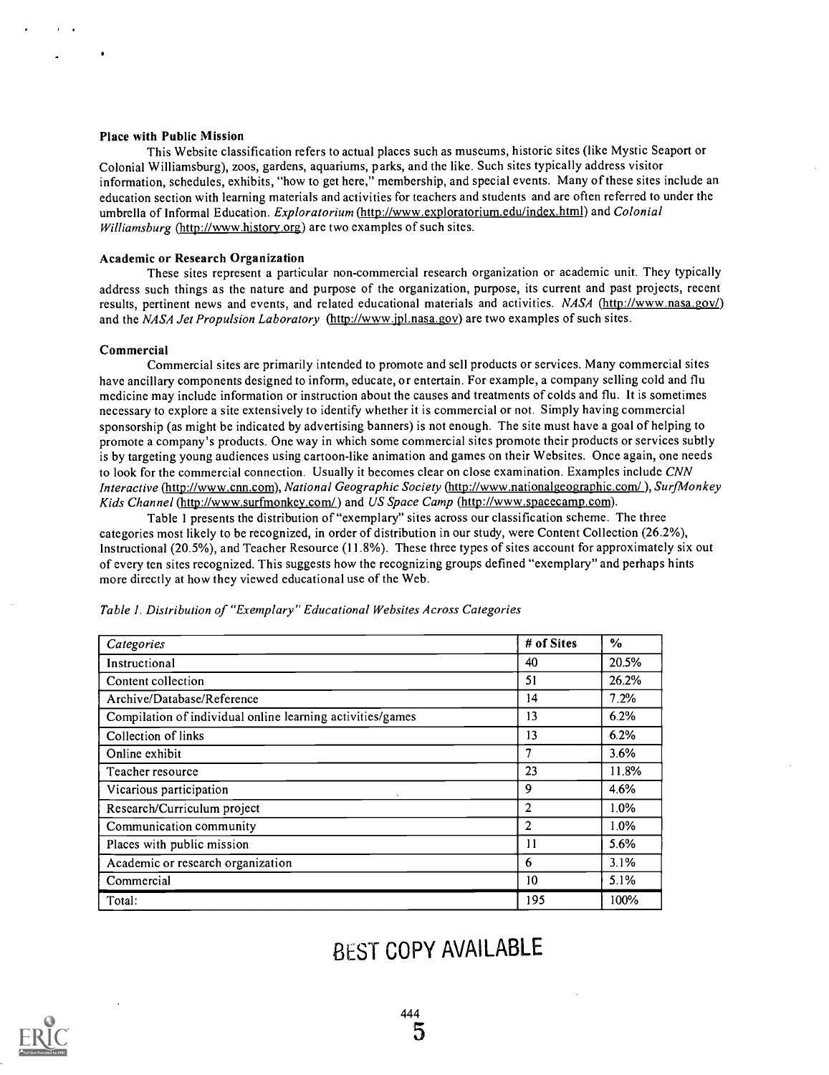#### Place with Public Mission

This Website classification refers to actual places such as museums, historic sites (like Mystic Seaport or Colonial Williamsburg), zoos, gardens, aquariums, parks, and the like. Such sites typically address visitor information, schedules, exhibits, "how to get here," membership, and special events. Many of these sites include an education section with learning materials and activities for teachers and students and are often referred to under the umbrella of Informal Education. Exploratorium (http://www.exploratorium.edu/index.html) and Colonial Williamsburg (http://www.history.org) are two examples of such sites.

#### Academic or Research Organization

These sites represent a particular non-commercial research organization or academic unit. They typically address such things as the nature and purpose of the organization, purpose, its current and past projects, recent results, pertinent news and events, and related educational materials and activities. NASA (http://www.nasa.gov/) and the NASA Jet Propulsion Laboratory (http://www.jpl.nasa.gov) are two examples of such sites.

#### Commercial

Commercial sites are primarily intended to promote and sell products or services. Many commercial sites have ancillary components designed to inform, educate, or entertain. For example, a company selling cold and flu medicine may include information or instruction about the causes and treatments of colds and flu. It is sometimes necessary to explore a site extensively to identify whether it is commercial or not. Simply having commercial sponsorship (as might be indicated by advertising banners) is not enough. The site must have a goal of helping to promote a company's products. One way in which some commercial sites promote their products or services subtly is by targeting young audiences using cartoon-like animation and games on their Websites. Once again, one needs to look for the commercial connection. Usually it becomes clear on close examination. Examples include CNN Interactive (http://www.cnn.com), National Geographic Society (http://www.nationalgeographic.com/ ), SurfMonkey Kids Channel (http://www.surfmonkey.com/) and US Space Camp (http://www.spacecamp.com).

Table 1 presents the distribution of "exemplary" sites across our classification scheme. The three categories most likely to be recognized, in order of distribution in our study, were Content Collection (26.2%), Instructional (20.5%), and Teacher Resource (11.8%). These three types of sites account for approximately six out of every ten sites recognized. This suggests how the recognizing groups defined "exemplary" and perhaps hints more directly at how they viewed educational use of the Web.

| Categories                                                 | # of Sites      | $\%$    |
|------------------------------------------------------------|-----------------|---------|
| Instructional                                              | 40              | 20.5%   |
| Content collection                                         | 51              | 26.2%   |
| Archive/Database/Reference                                 | 14              | 7.2%    |
| Compilation of individual online learning activities/games | 13              | 6.2%    |
| Collection of links                                        | 13              | 6.2%    |
| Online exhibit                                             | 7               | 3.6%    |
| Teacher resource                                           | 23              | 11.8%   |
| Vicarious participation                                    | 9               | 4.6%    |
| Research/Curriculum project                                | $\overline{2}$  | $1.0\%$ |
| Communication community                                    | $\overline{2}$  | $1.0\%$ |
| Places with public mission                                 | 11              | 5.6%    |
| Academic or research organization                          | -6              | 3.1%    |
| Commercial                                                 | 10 <sup>°</sup> | 5.1%    |
| Total:                                                     | 195             | 100%    |

Table I. Distribution of "Exemplary" Educational Websites Across Categories

## BEST COPY AVAILABLE

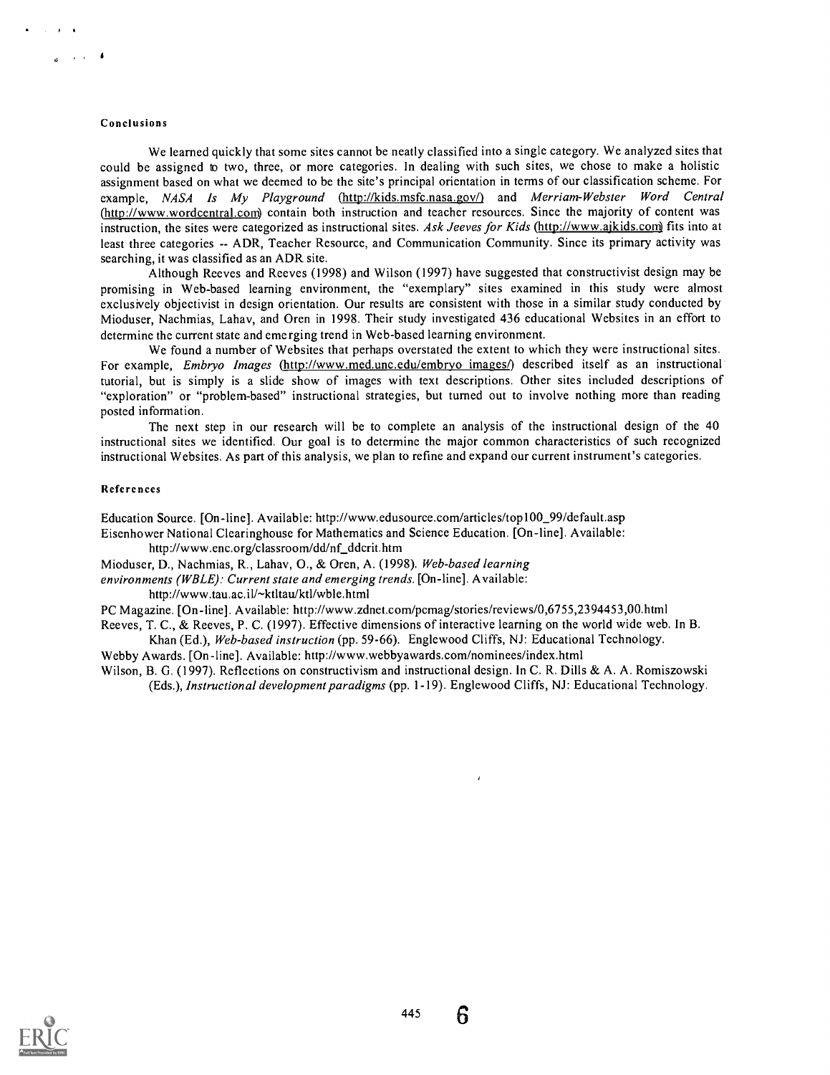#### Conclusions

We learned quickly that some sites cannot be neatly classified into a single category. We analyzed sites that could be assigned to two, three, or more categories. In dealing with such sites, we chose to make a holistic assignment based on what we deemed to be the site's principal orientation in terms of our classification scheme. For example, NASA Is My Playground (http://kids.msfc.nasa.gov/) and Merriam-Webster Word Central (http://www.wordcentral.com) contain both instruction and teacher resources. Since the majority of content was instruction, the sites were categorized as instructional sites. Ask Jeeves for Kids (http://www.ajkids.com) fits into at least three categories -- ADR, Teacher Resource, and Communication Community. Since its primary activity was searching, it was classified as an ADR site.

Although Reeves and Reeves (1998) and Wilson (1997) have suggested that constructivist design may be promising in Web-based learning environment, the "exemplary" sites examined in this study were almost exclusively objectivist in design orientation. Our results are consistent with those in a similar study conducted by Mioduser, Nachmias, Lahav, and Oren in 1998. Their study investigated 436 educational Websites in an effort to determine the current state and emerging trend in Web-based learning environment.

We found a number of Websites that perhaps overstated the extent to which they were instructional sites. For example, *Embryo Images* (http://www.med.unc.edu/embryo images/) described itself as an instructional tutorial, but is simply is a slide show of images with text descriptions. Other sites included descriptions of "exploration" or "problem-based" instructional strategies, but turned out to involve nothing more than reading posted information.

The next step in our research will be to complete an analysis of the instructional design of the 40 instructional sites we identified. Our goal is to determine the major common characteristics of such recognized instructional Websites. As part of this analysis, we plan to refine and expand our current instrument's categories.

#### References

Education Source. [On-line]. Available: http://www.edusource.com/articles/top100\_99/default.asp

Eisenhower National Clearinghouse for Mathematics and Science Education. [On-line]. Available: http://www.enc.org/classroom/dd/nf\_ddcrit.htm

Mioduser, D., Nachmias, R., Lahav, 0., & Oren, A. (1998). Web-based learning

environments (WBLE): Current state and emerging trends. [On-line]. Available:

http://www.tau.ac.il/~ktltau/ktl/wble.html

PC Magazine. [On-line]. Available: http://www.zdnet.com/pcmag/stories/reviews/0,6755,2394453,00.html

Reeves, T. C., & Reeves, P. C. (1997). Effective dimensions of interactive learning on the world wide web. In B. Khan (Ed.), Web-based instruction (pp. 59-66). Englewood Cliffs, NJ: Educational Technology.

Webby Awards. [On-line]. Available: http://www.webbyawards.com/nominees/index.html

Wilson, B. G. (1997). Reflections on constructivism and instructional design. In C. R. Dills & A. A. Romiszowski (Eds.), Instructional development paradigms (pp. 1-19). Englewood Cliffs, NJ: Educational Technology.